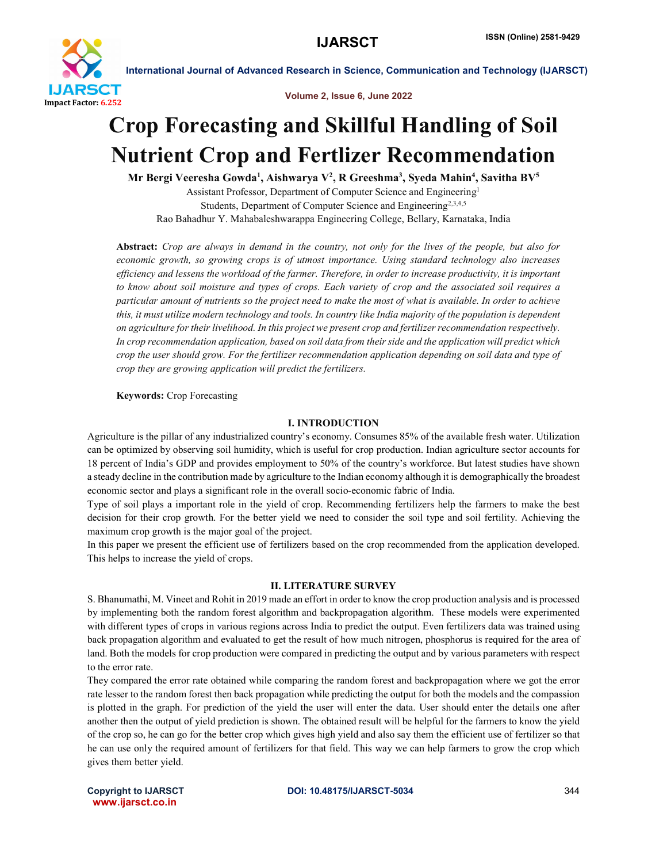

Volume 2, Issue 6, June 2022

# Crop Forecasting and Skillful Handling of Soil Nutrient Crop and Fertlizer Recommendation

Mr Bergi Veeresha Gowda<sup>1</sup>, Aishwarya V<sup>2</sup>, R Greeshma<sup>3</sup>, Syeda Mahin<sup>4</sup>, Savitha BV<sup>5</sup> Assistant Professor, Department of Computer Science and Engineering1 Students, Department of Computer Science and Engineering<sup>2,3,4,5</sup> Rao Bahadhur Y. Mahabaleshwarappa Engineering College, Bellary, Karnataka, India

Abstract: *Crop are always in demand in the country, not only for the lives of the people, but also for economic growth, so growing crops is of utmost importance. Using standard technology also increases efficiency and lessens the workload of the farmer. Therefore, in order to increase productivity, it is important to know about soil moisture and types of crops. Each variety of crop and the associated soil requires a particular amount of nutrients so the project need to make the most of what is available. In order to achieve this, it must utilize modern technology and tools. In country like India majority of the population is dependent on agriculture for their livelihood. In this project we present crop and fertilizer recommendation respectively. In crop recommendation application, based on soil data from their side and the application will predict which crop the user should grow. For the fertilizer recommendation application depending on soil data and type of crop they are growing application will predict the fertilizers.*

Keywords: Crop Forecasting

### I. INTRODUCTION

Agriculture is the pillar of any industrialized country's economy. Consumes 85% of the available fresh water. Utilization can be optimized by observing soil humidity, which is useful for crop production. Indian agriculture sector accounts for 18 percent of India's GDP and provides employment to 50% of the country's workforce. But latest studies have shown a steady decline in the contribution made by agriculture to the Indian economy although it is demographically the broadest economic sector and plays a significant role in the overall socio-economic fabric of India.

Type of soil plays a important role in the yield of crop. Recommending fertilizers help the farmers to make the best decision for their crop growth. For the better yield we need to consider the soil type and soil fertility. Achieving the maximum crop growth is the major goal of the project.

In this paper we present the efficient use of fertilizers based on the crop recommended from the application developed. This helps to increase the yield of crops.

### II. LITERATURE SURVEY

S. Bhanumathi, M. Vineet and Rohit in 2019 made an effort in order to know the crop production analysis and is processed by implementing both the random forest algorithm and backpropagation algorithm. These models were experimented with different types of crops in various regions across India to predict the output. Even fertilizers data was trained using back propagation algorithm and evaluated to get the result of how much nitrogen, phosphorus is required for the area of land. Both the models for crop production were compared in predicting the output and by various parameters with respect to the error rate.

They compared the error rate obtained while comparing the random forest and backpropagation where we got the error rate lesser to the random forest then back propagation while predicting the output for both the models and the compassion is plotted in the graph. For prediction of the yield the user will enter the data. User should enter the details one after another then the output of yield prediction is shown. The obtained result will be helpful for the farmers to know the yield of the crop so, he can go for the better crop which gives high yield and also say them the efficient use of fertilizer so that he can use only the required amount of fertilizers for that field. This way we can help farmers to grow the crop which gives them better yield.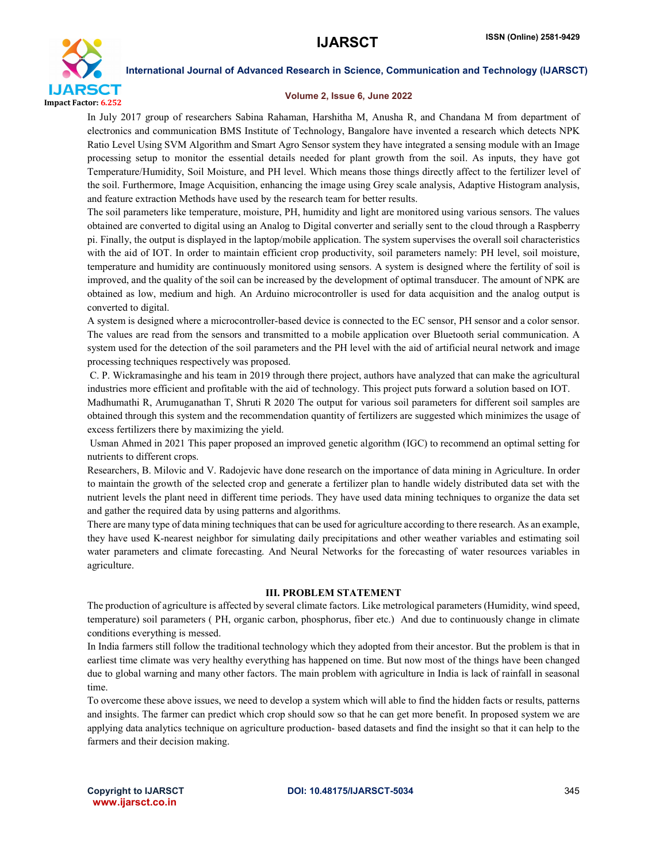

#### Volume 2, Issue 6, June 2022

In July 2017 group of researchers Sabina Rahaman, Harshitha M, Anusha R, and Chandana M from department of electronics and communication BMS Institute of Technology, Bangalore have invented a research which detects NPK Ratio Level Using SVM Algorithm and Smart Agro Sensor system they have integrated a sensing module with an Image processing setup to monitor the essential details needed for plant growth from the soil. As inputs, they have got Temperature/Humidity, Soil Moisture, and PH level. Which means those things directly affect to the fertilizer level of the soil. Furthermore, Image Acquisition, enhancing the image using Grey scale analysis, Adaptive Histogram analysis, and feature extraction Methods have used by the research team for better results.

The soil parameters like temperature, moisture, PH, humidity and light are monitored using various sensors. The values obtained are converted to digital using an Analog to Digital converter and serially sent to the cloud through a Raspberry pi. Finally, the output is displayed in the laptop/mobile application. The system supervises the overall soil characteristics with the aid of IOT. In order to maintain efficient crop productivity, soil parameters namely: PH level, soil moisture, temperature and humidity are continuously monitored using sensors. A system is designed where the fertility of soil is improved, and the quality of the soil can be increased by the development of optimal transducer. The amount of NPK are obtained as low, medium and high. An Arduino microcontroller is used for data acquisition and the analog output is converted to digital.

A system is designed where a microcontroller-based device is connected to the EC sensor, PH sensor and a color sensor. The values are read from the sensors and transmitted to a mobile application over Bluetooth serial communication. A system used for the detection of the soil parameters and the PH level with the aid of artificial neural network and image processing techniques respectively was proposed.

C. P. Wickramasinghe and his team in 2019 through there project, authors have analyzed that can make the agricultural industries more efficient and profitable with the aid of technology. This project puts forward a solution based on IOT.

Madhumathi R, Arumuganathan T, Shruti R 2020 The output for various soil parameters for different soil samples are obtained through this system and the recommendation quantity of fertilizers are suggested which minimizes the usage of excess fertilizers there by maximizing the yield.

Usman Ahmed in 2021 This paper proposed an improved genetic algorithm (IGC) to recommend an optimal setting for nutrients to different crops.

Researchers, B. Milovic and V. Radojevic have done research on the importance of data mining in Agriculture. In order to maintain the growth of the selected crop and generate a fertilizer plan to handle widely distributed data set with the nutrient levels the plant need in different time periods. They have used data mining techniques to organize the data set and gather the required data by using patterns and algorithms.

There are many type of data mining techniques that can be used for agriculture according to there research. As an example, they have used K-nearest neighbor for simulating daily precipitations and other weather variables and estimating soil water parameters and climate forecasting. And Neural Networks for the forecasting of water resources variables in agriculture.

#### III. PROBLEM STATEMENT

The production of agriculture is affected by several climate factors. Like metrological parameters (Humidity, wind speed, temperature) soil parameters ( PH, organic carbon, phosphorus, fiber etc.) And due to continuously change in climate conditions everything is messed.

In India farmers still follow the traditional technology which they adopted from their ancestor. But the problem is that in earliest time climate was very healthy everything has happened on time. But now most of the things have been changed due to global warning and many other factors. The main problem with agriculture in India is lack of rainfall in seasonal time.

To overcome these above issues, we need to develop a system which will able to find the hidden facts or results, patterns and insights. The farmer can predict which crop should sow so that he can get more benefit. In proposed system we are applying data analytics technique on agriculture production- based datasets and find the insight so that it can help to the farmers and their decision making.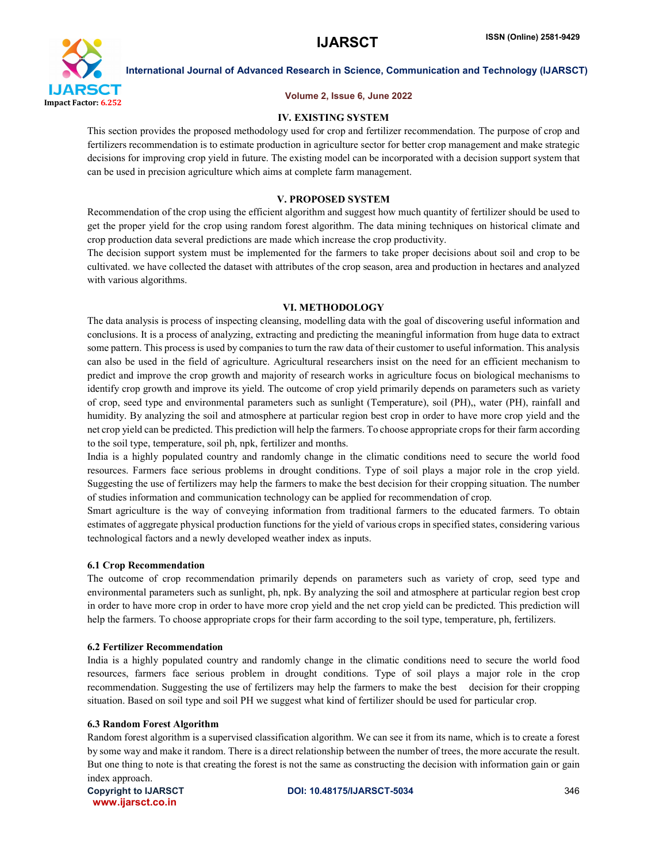

#### Volume 2, Issue 6, June 2022

### IV. EXISTING SYSTEM

This section provides the proposed methodology used for crop and fertilizer recommendation. The purpose of crop and fertilizers recommendation is to estimate production in agriculture sector for better crop management and make strategic decisions for improving crop yield in future. The existing model can be incorporated with a decision support system that can be used in precision agriculture which aims at complete farm management.

### V. PROPOSED SYSTEM

Recommendation of the crop using the efficient algorithm and suggest how much quantity of fertilizer should be used to get the proper yield for the crop using random forest algorithm. The data mining techniques on historical climate and crop production data several predictions are made which increase the crop productivity.

The decision support system must be implemented for the farmers to take proper decisions about soil and crop to be cultivated. we have collected the dataset with attributes of the crop season, area and production in hectares and analyzed with various algorithms.

### VI. METHODOLOGY

The data analysis is process of inspecting cleansing, modelling data with the goal of discovering useful information and conclusions. It is a process of analyzing, extracting and predicting the meaningful information from huge data to extract some pattern. This process is used by companies to turn the raw data of their customer to useful information. This analysis can also be used in the field of agriculture. Agricultural researchers insist on the need for an efficient mechanism to predict and improve the crop growth and majority of research works in agriculture focus on biological mechanisms to identify crop growth and improve its yield. The outcome of crop yield primarily depends on parameters such as variety of crop, seed type and environmental parameters such as sunlight (Temperature), soil (PH),, water (PH), rainfall and humidity. By analyzing the soil and atmosphere at particular region best crop in order to have more crop yield and the net crop yield can be predicted. This prediction will help the farmers. To choose appropriate crops for their farm according to the soil type, temperature, soil ph, npk, fertilizer and months.

India is a highly populated country and randomly change in the climatic conditions need to secure the world food resources. Farmers face serious problems in drought conditions. Type of soil plays a major role in the crop yield. Suggesting the use of fertilizers may help the farmers to make the best decision for their cropping situation. The number of studies information and communication technology can be applied for recommendation of crop.

Smart agriculture is the way of conveying information from traditional farmers to the educated farmers. To obtain estimates of aggregate physical production functions for the yield of various crops in specified states, considering various technological factors and a newly developed weather index as inputs.

### 6.1 Crop Recommendation

The outcome of crop recommendation primarily depends on parameters such as variety of crop, seed type and environmental parameters such as sunlight, ph, npk. By analyzing the soil and atmosphere at particular region best crop in order to have more crop in order to have more crop yield and the net crop yield can be predicted. This prediction will help the farmers. To choose appropriate crops for their farm according to the soil type, temperature, ph, fertilizers.

### 6.2 Fertilizer Recommendation

India is a highly populated country and randomly change in the climatic conditions need to secure the world food resources, farmers face serious problem in drought conditions. Type of soil plays a major role in the crop recommendation. Suggesting the use of fertilizers may help the farmers to make the best decision for their cropping situation. Based on soil type and soil PH we suggest what kind of fertilizer should be used for particular crop.

### 6.3 Random Forest Algorithm

Random forest algorithm is a supervised classification algorithm. We can see it from its name, which is to create a forest by some way and make it random. There is a direct relationship between the number of trees, the more accurate the result. But one thing to note is that creating the forest is not the same as constructing the decision with information gain or gain index approach.

www.ijarsct.co.in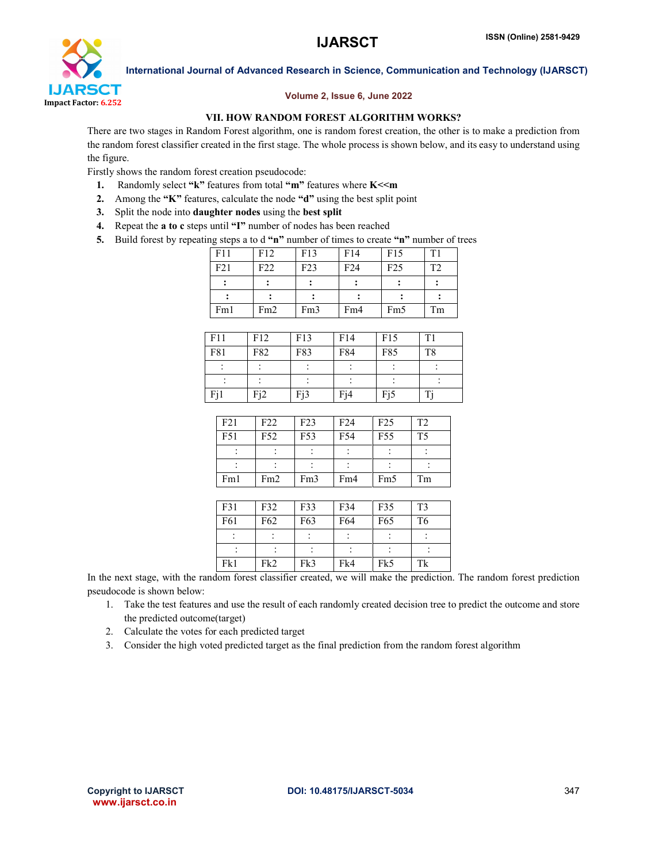

### Volume 2, Issue 6, June 2022

#### VII. HOW RANDOM FOREST ALGORITHM WORKS?

There are two stages in Random Forest algorithm, one is random forest creation, the other is to make a prediction from the random forest classifier created in the first stage. The whole process is shown below, and its easy to understand using the figure.

Firstly shows the random forest creation pseudocode:

- 1. Randomly select "k" features from total "m" features where K<<m
- 2. Among the "K" features, calculate the node "d" using the best split point
- 3. Split the node into daughter nodes using the best split
- 4. Repeat the a to c steps until "I" number of nodes has been reached
- 5. Build forest by repeating steps a to d "n" number of times to create "n" number of trees

| ו־־־ ס־ |                 |     |     |                 |                |
|---------|-----------------|-----|-----|-----------------|----------------|
| F11     | F12             | F13 | F14 | F15             | T1             |
| F21     | F <sub>22</sub> | F23 | F24 | F25             | T <sub>2</sub> |
|         |                 |     |     |                 |                |
|         |                 |     |     |                 |                |
| Fm1     | Fm2             | Fm3 | Fm4 | Fm <sub>5</sub> | Tm             |
|         |                 |     |     |                 |                |

| F11 | F12 | F13 | F14              | F15 | T1             |
|-----|-----|-----|------------------|-----|----------------|
| F81 | F82 | F83 | F84              | F85 | T <sub>8</sub> |
|     |     | ۰   |                  |     |                |
|     |     |     |                  |     |                |
| Fj1 | Fi2 | Fj3 | F <sub>i</sub> 4 | Fj5 | T.             |

| F21 | F22 | F23 | F24 | F25             | T <sub>2</sub> |
|-----|-----|-----|-----|-----------------|----------------|
| F51 | F52 | F53 | F54 | F <sub>55</sub> | T <sub>5</sub> |
|     |     |     |     |                 |                |
|     |     |     |     |                 |                |
| Fm1 | Fm2 | Fm3 | Fm4 | Fm <sub>5</sub> | Tm             |

| F31 | F32             | F33 | F34 | F35 | T <sub>3</sub> |
|-----|-----------------|-----|-----|-----|----------------|
| F61 | F <sub>62</sub> | F63 | F64 | F65 | T <sub>6</sub> |
|     |                 |     |     |     |                |
|     |                 |     |     |     |                |
| Fk1 | Fk <sub>2</sub> | Fk3 | Fk4 | Fk5 | Tk             |

In the next stage, with the random forest classifier created, we will make the prediction. The random forest prediction pseudocode is shown below:

- 1. Take the test features and use the result of each randomly created decision tree to predict the outcome and store the predicted outcome(target)
- 2. Calculate the votes for each predicted target
- 3. Consider the high voted predicted target as the final prediction from the random forest algorithm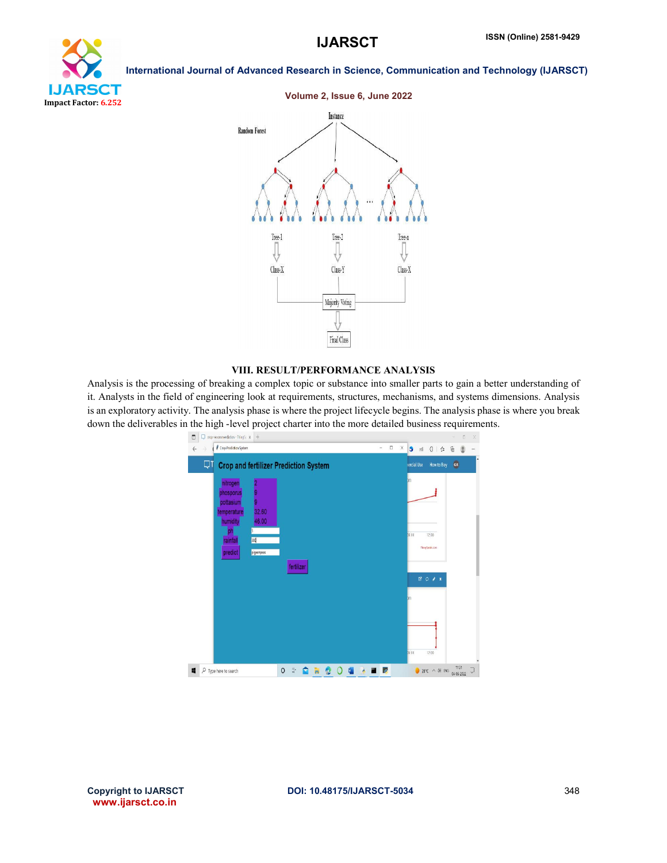





### VIII. RESULT/PERFORMANCE ANALYSIS

Analysis is the processing of breaking a complex topic or substance into smaller parts to gain a better understanding of it. Analysts in the field of engineering look at requirements, structures, mechanisms, and systems dimensions. Analysis is an exploratory activity. The analysis phase is where the project lifecycle begins. The analysis phase is where you break down the deliverables in the high -level project charter into the more detailed business requirements.



www.ijarsct.co.in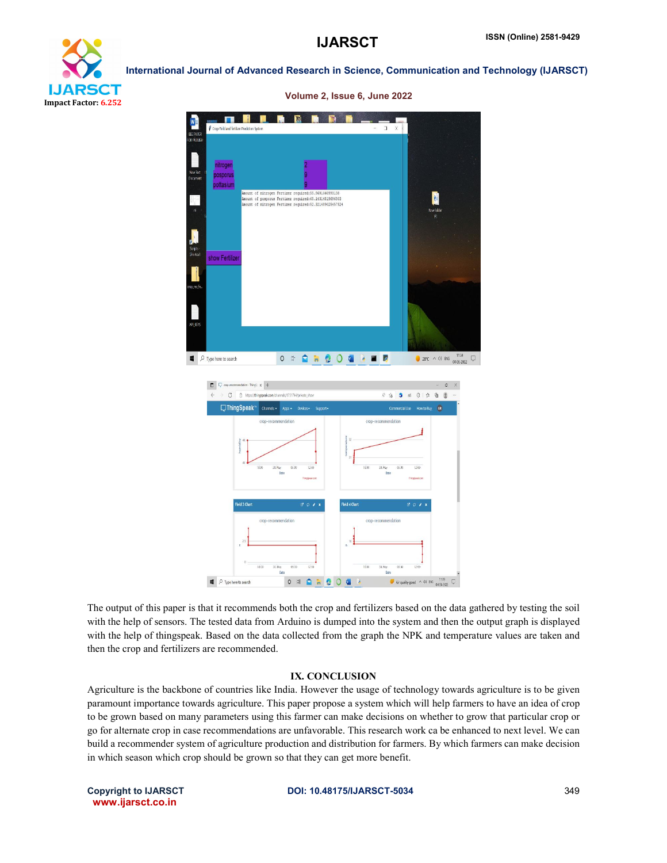



The output of this paper is that it recommends both the crop and fertilizers based on the data gathered by testing the soil with the help of sensors. The tested data from Arduino is dumped into the system and then the output graph is displayed with the help of thingspeak. Based on the data collected from the graph the NPK and temperature values are taken and then the crop and fertilizers are recommended.

## IX. CONCLUSION

Agriculture is the backbone of countries like India. However the usage of technology towards agriculture is to be given paramount importance towards agriculture. This paper propose a system which will help farmers to have an idea of crop to be grown based on many parameters using this farmer can make decisions on whether to grow that particular crop or go for alternate crop in case recommendations are unfavorable. This research work ca be enhanced to next level. We can build a recommender system of agriculture production and distribution for farmers. By which farmers can make decision in which season which crop should be grown so that they can get more benefit.

www.ijarsct.co.in

#### Copyright to IJARSCT **DOI: 10.48175/IJARSCT-5034** 349